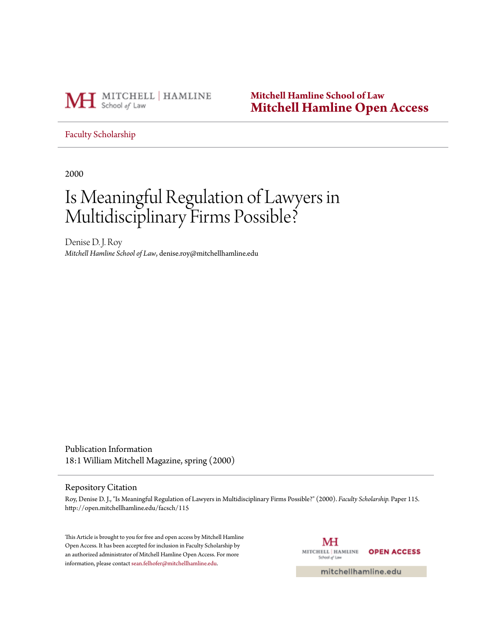

**Mitchell Hamline School of Law [Mitchell Hamline Open Access](http://open.mitchellhamline.edu)**

[Faculty Scholarship](http://open.mitchellhamline.edu/facsch)

2000

# Is Meaningful Regulation of Lawyers in Multidisciplinary Firms Possible?

Denise D. J. Roy *Mitchell Hamline School of Law*, denise.roy@mitchellhamline.edu

Publication Information 18:1 William Mitchell Magazine, spring (2000)

#### Repository Citation

Roy, Denise D. J., "Is Meaningful Regulation of Lawyers in Multidisciplinary Firms Possible?" (2000). *Faculty Scholarship.* Paper 115. http://open.mitchellhamline.edu/facsch/115

This Article is brought to you for free and open access by Mitchell Hamline Open Access. It has been accepted for inclusion in Faculty Scholarship by an authorized administrator of Mitchell Hamline Open Access. For more information, please contact [sean.felhofer@mitchellhamline.edu.](mailto:sean.felhofer@mitchellhamline.edu)

МH MITCHELL | HAMLINE **OPEN ACCESS** School of Law

mitchellhamline.edu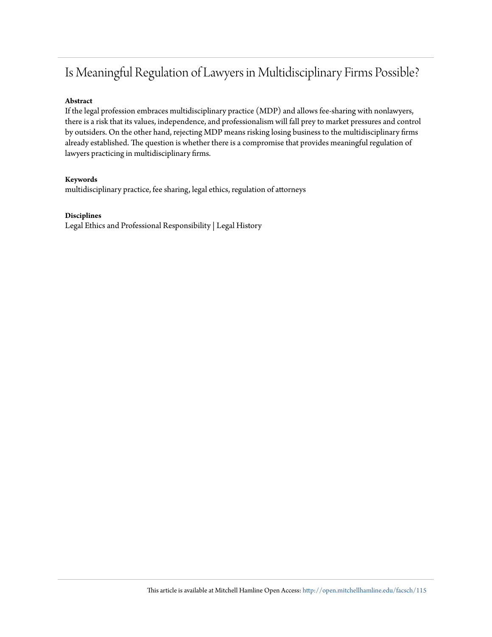## Is Meaningful Regulation of Lawyers in Multidisciplinary Firms Possible?

#### **Abstract**

If the legal profession embraces multidisciplinary practice (MDP) and allows fee-sharing with nonlawyers, there is a risk that its values, independence, and professionalism will fall prey to market pressures and control by outsiders. On the other hand, rejecting MDP means risking losing business to the multidisciplinary firms already established. The question is whether there is a compromise that provides meaningful regulation of lawyers practicing in multidisciplinary firms.

#### **Keywords**

multidisciplinary practice, fee sharing, legal ethics, regulation of attorneys

#### **Disciplines**

Legal Ethics and Professional Responsibility | Legal History